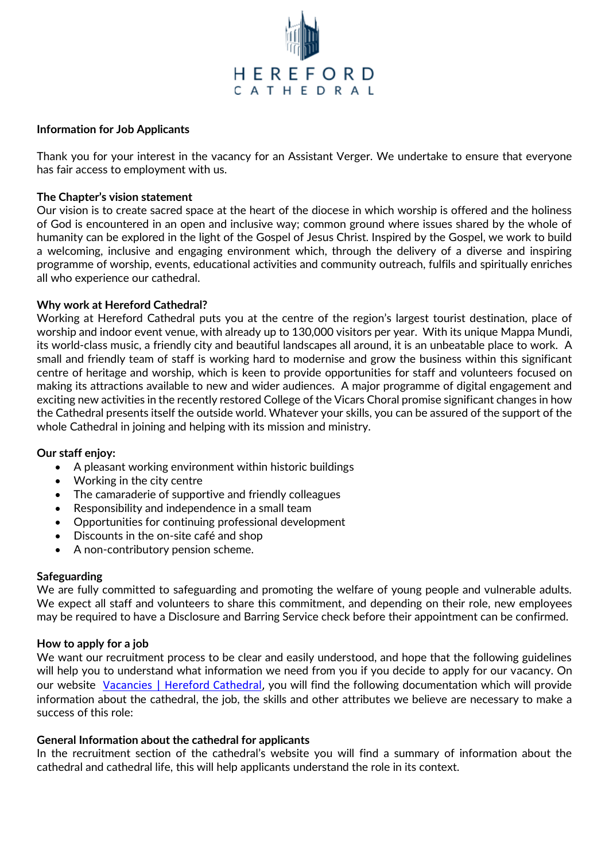

#### **Information for Job Applicants**

Thank you for your interest in the vacancy for an Assistant Verger. We undertake to ensure that everyone has fair access to employment with us.

### **The Chapter's vision statement**

Our vision is to create sacred space at the heart of the diocese in which worship is offered and the holiness of God is encountered in an open and inclusive way; common ground where issues shared by the whole of humanity can be explored in the light of the Gospel of Jesus Christ. Inspired by the Gospel, we work to build a welcoming, inclusive and engaging environment which, through the delivery of a diverse and inspiring programme of worship, events, educational activities and community outreach, fulfils and spiritually enriches all who experience our cathedral.

### **Why work at Hereford Cathedral?**

Working at Hereford Cathedral puts you at the centre of the region's largest tourist destination, place of worship and indoor event venue, with already up to 130,000 visitors per year. With its unique Mappa Mundi, its world-class music, a friendly city and beautiful landscapes all around, it is an unbeatable place to work. A small and friendly team of staff is working hard to modernise and grow the business within this significant centre of heritage and worship, which is keen to provide opportunities for staff and volunteers focused on making its attractions available to new and wider audiences. A major programme of digital engagement and exciting new activities in the recently restored College of the Vicars Choral promise significant changes in how the Cathedral presents itself the outside world. Whatever your skills, you can be assured of the support of the whole Cathedral in joining and helping with its mission and ministry.

### **Our staff enjoy:**

- A pleasant working environment within historic buildings
- Working in the city centre
- The camaraderie of supportive and friendly colleagues
- Responsibility and independence in a small team
- Opportunities for continuing professional development
- Discounts in the on-site café and shop
- A non-contributory pension scheme.

### **Safeguarding**

We are fully committed to safeguarding and promoting the welfare of young people and vulnerable adults. We expect all staff and volunteers to share this commitment, and depending on their role, new employees may be required to have a Disclosure and Barring Service check before their appointment can be confirmed.

### **How to apply for a job**

We want our recruitment process to be clear and easily understood, and hope that the following guidelines will help you to understand what information we need from you if you decide to apply for our vacancy. On our website [Vacancies | Hereford Cathedral,](https://www.herefordcathedral.org/vacancies) you will find the following documentation which will provide information about the cathedral, the job, the skills and other attributes we believe are necessary to make a success of this role:

### **General Information about the cathedral for applicants**

In the recruitment section of the cathedral's website you will find a summary of information about the cathedral and cathedral life, this will help applicants understand the role in its context.